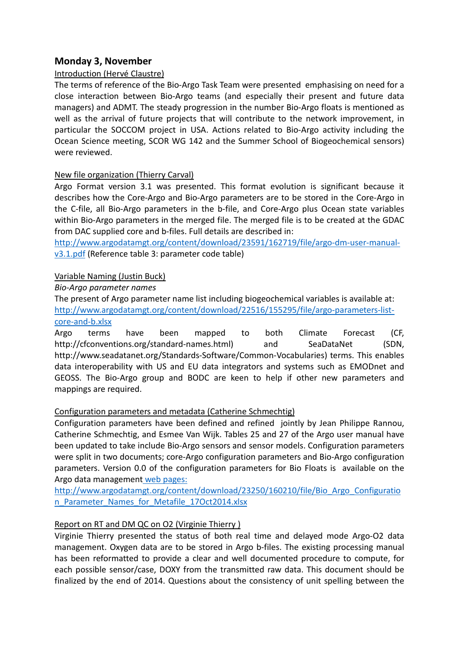# **Monday 3, November**

### Introduction (Hervé Claustre)

The terms of reference of the Bio-Argo Task Team were presented emphasising on need for a close interaction between Bio-Argo teams (and especially their present and future data managers) and ADMT. The steady progression in the number Bio-Argo floats is mentioned as well as the arrival of future projects that will contribute to the network improvement, in particular the SOCCOM project in USA. Actions related to Bio-Argo activity including the Ocean Science meeting, SCOR WG 142 and the Summer School of Biogeochemical sensors) were reviewed.

### New file organization (Thierry Carval)

Argo Format version 3.1 was presented. This format evolution is significant because it describes how the Core-Argo and Bio-Argo parameters are to be stored in the Core-Argo in the C-file, all Bio-Argo parameters in the b-file, and Core-Argo plus Ocean state variables within Bio-Argo parameters in the merged file. The merged file is to be created at the GDAC from DAC supplied core and b-files. Full details are described in:

[http://www.argodatamgt.org/content/download/23591/162719/file/argo-dm-user-manual](http://www.argodatamgt.org/content/download/23591/162719/file/argo-dm-user-manual-v3.1.pdf)[v3.1.pdf](http://www.argodatamgt.org/content/download/23591/162719/file/argo-dm-user-manual-v3.1.pdf) (Reference table 3: parameter code table)

### Variable Naming (Justin Buck)

*Bio-Argo parameter names*

The present of Argo parameter name list including biogeochemical variables is available at: [http://www.argodatamgt.org/content/download/22516/155295/file/argo-parameters-list](http://www.argodatamgt.org/content/download/22516/155295/file/argo-parameters-list-core-and-b.xlsx)[core-and-b.xlsx](http://www.argodatamgt.org/content/download/22516/155295/file/argo-parameters-list-core-and-b.xlsx)

Argo terms have been mapped to both Climate Forecast (CF, http://cfconventions.org/standard-names.html) and SeaDataNet (SDN, http://www.seadatanet.org/Standards-Software/Common-Vocabularies) terms. This enables data interoperability with US and EU data integrators and systems such as EMODnet and GEOSS. The Bio-Argo group and BODC are keen to help if other new parameters and mappings are required.

### Configuration parameters and metadata (Catherine Schmechtig)

Configuration parameters have been defined and refined jointly by Jean Philippe Rannou, Catherine Schmechtig, and Esmee Van Wijk. Tables 25 and 27 of the Argo user manual have been updated to take include Bio-Argo sensors and sensor models. Configuration parameters were split in two documents; core-Argo configuration parameters and Bio-Argo configuration parameters. Version 0.0 of the configuration parameters for Bio Floats is available on the Argo data management web pages:

[http://www.argodatamgt.org/content/download/23250/160210/file/Bio\\_Argo\\_Configuratio](http://www.argodatamgt.org/content/download/23250/160210/file/Bio_Argo_Configuration_Parameter_Names_for_Metafile_17Oct2014.xlsx) n Parameter Names for Metafile 17Oct2014.xlsx

# Report on RT and DM QC on O2 (Virginie Thierry )

Virginie Thierry presented the status of both real time and delayed mode Argo-O2 data management. Oxygen data are to be stored in Argo b-files. The existing processing manual has been reformatted to provide a clear and well documented procedure to compute, for each possible sensor/case, DOXY from the transmitted raw data. This document should be finalized by the end of 2014. Questions about the consistency of unit spelling between the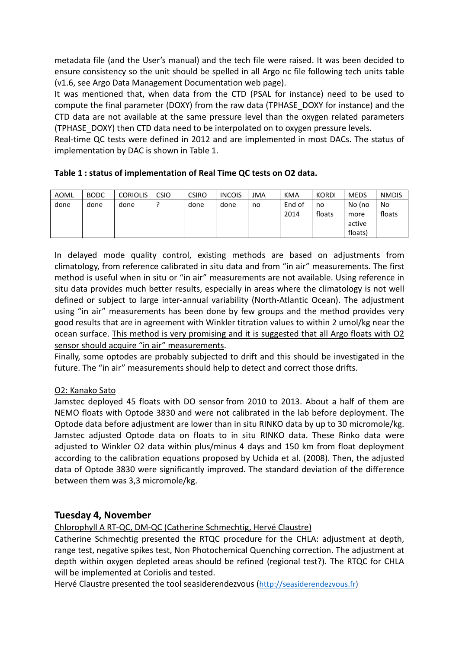metadata file (and the User's manual) and the tech file were raised. It was been decided to ensure consistency so the unit should be spelled in all Argo nc file following tech units table (v1.6, see Argo Data Management Documentation web page).

It was mentioned that, when data from the CTD (PSAL for instance) need to be used to compute the final parameter (DOXY) from the raw data (TPHASE\_DOXY for instance) and the CTD data are not available at the same pressure level than the oxygen related parameters (TPHASE\_DOXY) then CTD data need to be interpolated on to oxygen pressure levels.

Real-time QC tests were defined in 2012 and are implemented in most DACs. The status of implementation by DAC is shown in Table 1.

| AOML | <b>BODC</b> | <b>CORIOLIS</b> | <b>CSIO</b> | <b>CSIRO</b> | <b>INCOIS</b> | JMA | KMA    | <b>KORDI</b> | <b>MEDS</b> | <b>NMDIS</b> |
|------|-------------|-----------------|-------------|--------------|---------------|-----|--------|--------------|-------------|--------------|
| done | done        | done            |             | done         | done          | no  | End of | no           | No (no      | No           |
|      |             |                 |             |              |               |     | 2014   | floats       | more        | floats       |
|      |             |                 |             |              |               |     |        |              | active      |              |
|      |             |                 |             |              |               |     |        |              | floats)     |              |

In delayed mode quality control, existing methods are based on adjustments from climatology, from reference calibrated in situ data and from "in air" measurements. The first method is useful when in situ or "in air" measurements are not available. Using reference in situ data provides much better results, especially in areas where the climatology is not well defined or subject to large inter-annual variability (North-Atlantic Ocean). The adjustment using "in air" measurements has been done by few groups and the method provides very good results that are in agreement with Winkler titration values to within 2 umol/kg near the ocean surface. This method is very promising and it is suggested that all Argo floats with O2 sensor should acquire "in air" measurements.

Finally, some optodes are probably subjected to drift and this should be investigated in the future. The "in air" measurements should help to detect and correct those drifts.

### O2: Kanako Sato

Jamstec deployed 45 floats with DO sensor from 2010 to 2013. About a half of them are NEMO floats with Optode 3830 and were not calibrated in the lab before deployment. The Optode data before adjustment are lower than in situ RINKO data by up to 30 micromole/kg. Jamstec adjusted Optode data on floats to in situ RINKO data. These Rinko data were adjusted to Winkler O2 data within plus/minus 4 days and 150 km from float deployment according to the calibration equations proposed by Uchida et al. (2008). Then, the adjusted data of Optode 3830 were significantly improved. The standard deviation of the difference between them was 3,3 micromole/kg.

# **Tuesday 4, November**

Chlorophyll A RT-QC, DM-QC (Catherine Schmechtig, Hervé Claustre)

Catherine Schmechtig presented the RTQC procedure for the CHLA: adjustment at depth, range test, negative spikes test, Non Photochemical Quenching correction. The adjustment at depth within oxygen depleted areas should be refined (regional test?). The RTQC for CHLA will be implemented at Coriolis and tested.

Hervé Claustre presented the tool seasiderendezvous [\(http://seasiderendezvous.fr\)](http://seasiderendezvous.fr/profil.php?p=lovbio032b&p2=124_00)